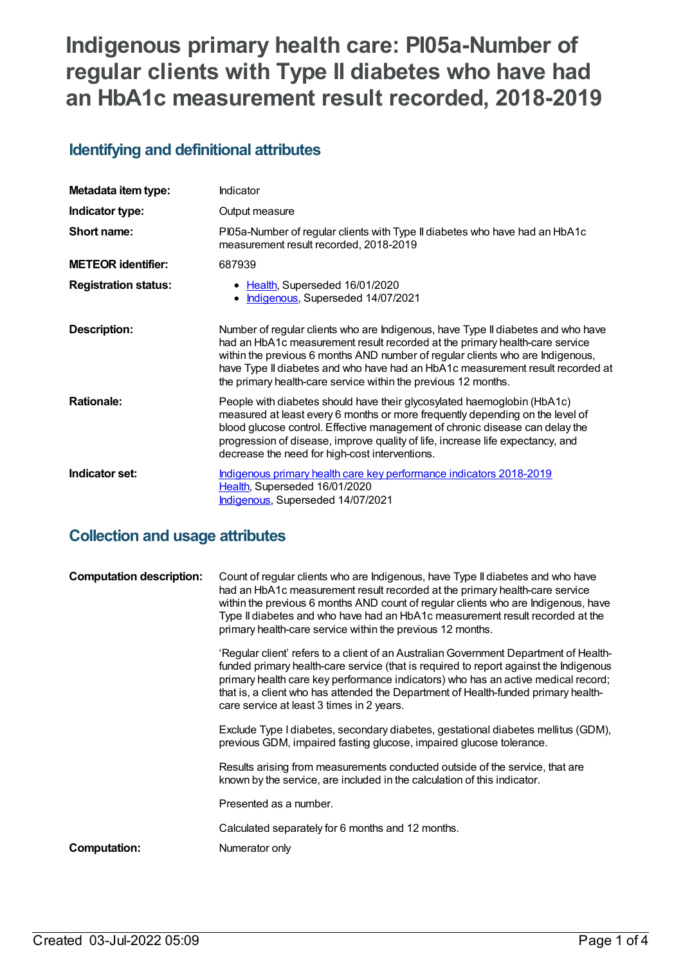# **Indigenous primary health care: PI05a-Number of regular clients with Type II diabetes who have had an HbA1c measurement result recorded, 2018-2019**

### **Identifying and definitional attributes**

| Metadata item type:         | Indicator                                                                                                                                                                                                                                                                                                                                                                                             |  |
|-----------------------------|-------------------------------------------------------------------------------------------------------------------------------------------------------------------------------------------------------------------------------------------------------------------------------------------------------------------------------------------------------------------------------------------------------|--|
| Indicator type:             | Output measure                                                                                                                                                                                                                                                                                                                                                                                        |  |
| Short name:                 | PI05a-Number of regular clients with Type II diabetes who have had an HbA1c<br>measurement result recorded, 2018-2019                                                                                                                                                                                                                                                                                 |  |
| <b>METEOR</b> identifier:   | 687939                                                                                                                                                                                                                                                                                                                                                                                                |  |
| <b>Registration status:</b> | • Health, Superseded 16/01/2020<br>Indigenous, Superseded 14/07/2021                                                                                                                                                                                                                                                                                                                                  |  |
| <b>Description:</b>         | Number of regular clients who are Indigenous, have Type II diabetes and who have<br>had an HbA1c measurement result recorded at the primary health-care service<br>within the previous 6 months AND number of regular clients who are Indigenous,<br>have Type II diabetes and who have had an HbA1c measurement result recorded at<br>the primary health-care service within the previous 12 months. |  |
| <b>Rationale:</b>           | People with diabetes should have their glycosylated haemoglobin (HbA1c)<br>measured at least every 6 months or more frequently depending on the level of<br>blood glucose control. Effective management of chronic disease can delay the<br>progression of disease, improve quality of life, increase life expectancy, and<br>decrease the need for high-cost interventions.                          |  |
| Indicator set:              | Indigenous primary health care key performance indicators 2018-2019<br>Health, Superseded 16/01/2020<br>Indigenous, Superseded 14/07/2021                                                                                                                                                                                                                                                             |  |

### **Collection and usage attributes**

| <b>Computation description:</b> | Count of regular clients who are Indigenous, have Type II diabetes and who have<br>had an HbA1c measurement result recorded at the primary health-care service<br>within the previous 6 months AND count of regular clients who are Indigenous, have<br>Type II diabetes and who have had an HbA1c measurement result recorded at the<br>primary health-care service within the previous 12 months.    |
|---------------------------------|--------------------------------------------------------------------------------------------------------------------------------------------------------------------------------------------------------------------------------------------------------------------------------------------------------------------------------------------------------------------------------------------------------|
|                                 | 'Regular client' refers to a client of an Australian Government Department of Health-<br>funded primary health-care service (that is required to report against the Indigenous<br>primary health care key performance indicators) who has an active medical record;<br>that is, a client who has attended the Department of Health-funded primary health-<br>care service at least 3 times in 2 years. |
|                                 | Exclude Type I diabetes, secondary diabetes, gestational diabetes mellitus (GDM),<br>previous GDM, impaired fasting glucose, impaired glucose tolerance.                                                                                                                                                                                                                                               |
|                                 | Results arising from measurements conducted outside of the service, that are<br>known by the service, are included in the calculation of this indicator.                                                                                                                                                                                                                                               |
|                                 | Presented as a number.                                                                                                                                                                                                                                                                                                                                                                                 |
|                                 | Calculated separately for 6 months and 12 months.                                                                                                                                                                                                                                                                                                                                                      |
| <b>Computation:</b>             | Numerator only                                                                                                                                                                                                                                                                                                                                                                                         |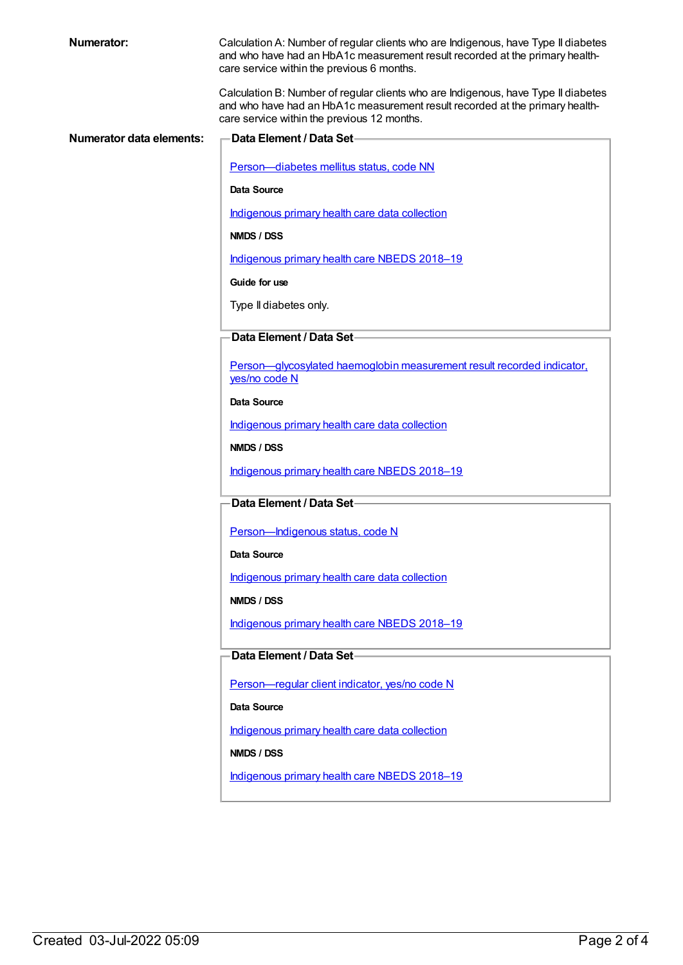Calculation A: Number of regular clients who are Indigenous, have Type II diabetes and who have had an HbA1c measurement result recorded at the primary healthcare service within the previous 6 months.

Calculation B: Number of regular clients who are Indigenous, have Type II diabetes and who have had an HbA1c measurement result recorded at the primary healthcare service within the previous 12 months.

| Numerator data elements: | Data Element / Data Set-                                                                |
|--------------------------|-----------------------------------------------------------------------------------------|
|                          | Person-diabetes mellitus status, code NN                                                |
|                          | <b>Data Source</b>                                                                      |
|                          | Indigenous primary health care data collection                                          |
|                          | NMDS / DSS                                                                              |
|                          | Indigenous primary health care NBEDS 2018-19                                            |
|                          | Guide for use                                                                           |
|                          | Type II diabetes only.                                                                  |
|                          | Data Element / Data Set-                                                                |
|                          | Person-glycosylated haemoglobin measurement result recorded indicator,<br>yes/no code N |
|                          | Data Source                                                                             |
|                          | Indigenous primary health care data collection                                          |
|                          | NMDS / DSS                                                                              |
|                          | Indigenous primary health care NBEDS 2018-19                                            |
|                          | Data Element / Data Set-                                                                |
|                          | Person-Indigenous status, code N                                                        |
|                          | <b>Data Source</b>                                                                      |
|                          | Indigenous primary health care data collection                                          |
|                          | NMDS / DSS                                                                              |
|                          | Indigenous primary health care NBEDS 2018-19                                            |
|                          | Data Element / Data Set                                                                 |
|                          | Person-regular client indicator, yes/no code N                                          |
|                          | Data Source                                                                             |
|                          | Indigenous primary health care data collection                                          |
|                          | NMDS / DSS                                                                              |
|                          | Indigenous primary health care NBEDS 2018-19                                            |
|                          |                                                                                         |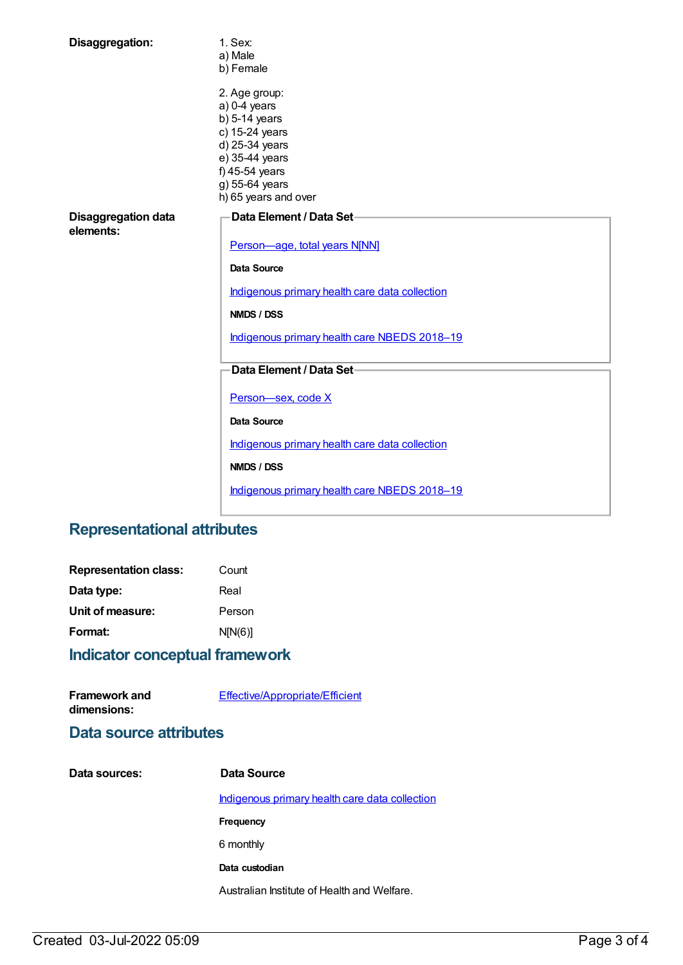| Disaggregation:                         | 1. Sex:<br>a) Male<br>b) Female                                                                                                                                                                 |  |  |
|-----------------------------------------|-------------------------------------------------------------------------------------------------------------------------------------------------------------------------------------------------|--|--|
|                                         | 2. Age group:<br>$a)$ 0-4 years<br>$b)$ 5-14 years<br>c) 15-24 years<br>d) 25-34 years<br>e) 35-44 years<br>f) 45-54 years<br>g) 55-64 years<br>h) 65 years and over                            |  |  |
| <b>Disaggregation data</b><br>elements: | Data Element / Data Set-<br>Person-age, total years N[NN]<br>Data Source<br>Indigenous primary health care data collection<br><b>NMDS / DSS</b><br>Indigenous primary health care NBEDS 2018-19 |  |  |
|                                         | Data Element / Data Set-<br>Person-sex, code X<br><b>Data Source</b><br>Indigenous primary health care data collection<br><b>NMDS / DSS</b>                                                     |  |  |
|                                         | Indigenous primary health care NBEDS 2018-19                                                                                                                                                    |  |  |

## **Representational attributes**

| Count   |
|---------|
| Real    |
| Person  |
| N[N(6)] |
|         |

### **Indicator conceptual framework**

| <b>Framework and</b> | Effective/Appropriate/Efficient |
|----------------------|---------------------------------|
| dimensions:          |                                 |

### **Data source attributes**

| Data sources: | Data Source                                    |
|---------------|------------------------------------------------|
|               | Indigenous primary health care data collection |
|               | Frequency                                      |
|               | 6 monthly                                      |
|               | Data custodian                                 |
|               | Australian Institute of Health and Welfare.    |